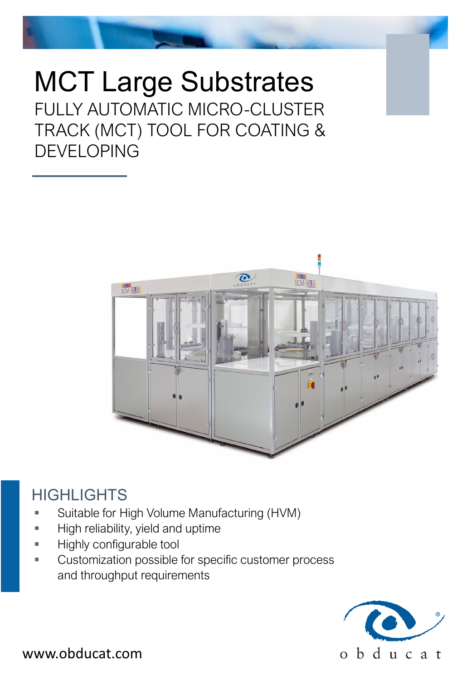MCT Large Substrates FULLY AUTOMATIC MICRO-CLUSTER TRACK (MCT) TOOL FOR COATING & DEVELOPING



## **HIGHLIGHTS**

- Suitable for High Volume Manufacturing (HVM)
- High reliability, yield and uptime
- Highly configurable tool
- Customization possible for specific customer process and throughput requirements



www.obducat.com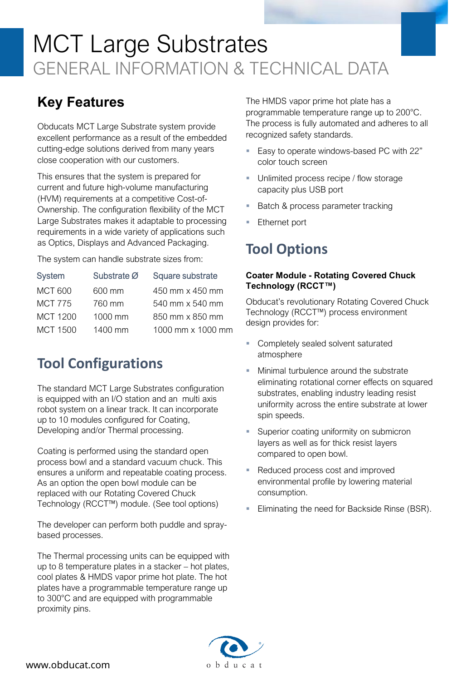# MCT Large Substrates GENERAL INFORMATION & TECHNICAL DATA

### **Key Features**

Obducats MCT Large Substrate system provide excellent performance as a result of the embedded cutting-edge solutions derived from many years close cooperation with our customers.

This ensures that the system is prepared for current and future high-volume manufacturing (HVM) requirements at a competitive Cost-of-Ownership. The configuration flexibility of the MCT Large Substrates makes it adaptable to processing requirements in a wide variety of applications such as Optics, Displays and Advanced Packaging.

The system can handle substrate sizes from:

| <b>System</b>   | Substrate Ø | Square substrate  |
|-----------------|-------------|-------------------|
| <b>MCT 600</b>  | 600 mm      | 450 mm x 450 mm   |
| <b>MCT 775</b>  | 760 mm      | 540 mm x 540 mm   |
| MCT 1200        | 1000 mm     | 850 mm x 850 mm   |
| <b>MCT 1500</b> | $1400$ mm   | 1000 mm x 1000 mm |
|                 |             |                   |

### **Tool Configurations**

The standard MCT Large Substrates configuration is equipped with an I/O station and an multi axis robot system on a linear track. It can incorporate up to 10 modules configured for Coating, Developing and/or Thermal processing.

Coating is performed using the standard open process bowl and a standard vacuum chuck. This ensures a uniform and repeatable coating process. As an option the open bowl module can be replaced with our Rotating Covered Chuck Technology (RCCT™) module. (See tool options)

The developer can perform both puddle and spraybased processes.

The Thermal processing units can be equipped with up to 8 temperature plates in a stacker – hot plates, cool plates & HMDS vapor prime hot plate. The hot plates have a programmable temperature range up to 300°C and are equipped with programmable proximity pins.

The HMDS vapor prime hot plate has a programmable temperature range up to 200°C. The process is fully automated and adheres to all recognized safety standards.

- **Easy to operate windows-based PC with 22"** color touch screen
- **Unlimited process recipe / flow storage** capacity plus USB port
- Batch & process parameter tracking
- Ethernet port

### **Tool Options**

#### **Coater Module - Rotating Covered Chuck Technology (RCCT™)**

Obducat's revolutionary Rotating Covered Chuck Technology (RCCT™) process environment design provides for:

- **Completely sealed solvent saturated** atmosphere
- Minimal turbulence around the substrate eliminating rotational corner effects on squared substrates, enabling industry leading resist uniformity across the entire substrate at lower spin speeds.
- **Superior coating uniformity on submicron** layers as well as for thick resist layers compared to open bowl.
- Reduced process cost and improved environmental profile by lowering material consumption.
- Eliminating the need for Backside Rinse (BSR).

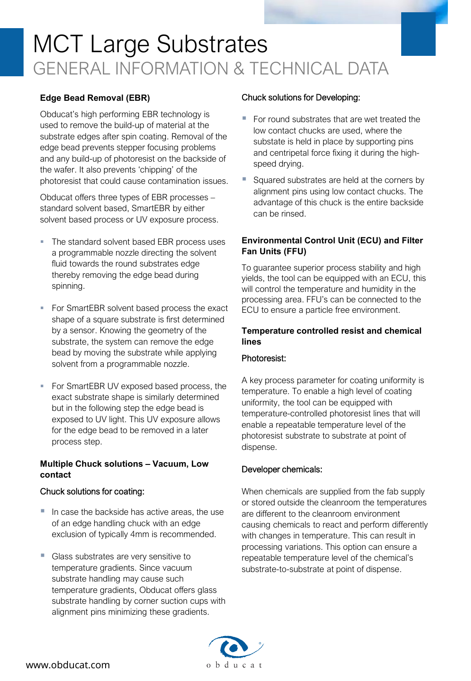# MCT Large Substrates GENERAL INFORMATION & TECHNICAL DATA

#### **Edge Bead Removal (EBR)**

Obducat's high performing EBR technology is used to remove the build-up of material at the substrate edges after spin coating. Removal of the edge bead prevents stepper focusing problems and any build-up of photoresist on the backside of the wafer. It also prevents 'chipping' of the photoresist that could cause contamination issues.

Obducat offers three types of EBR processes – standard solvent based, SmartEBR by either solvent based process or UV exposure process.

- The standard solvent based EBR process uses a programmable nozzle directing the solvent fluid towards the round substrates edge thereby removing the edge bead during spinning.
- For SmartEBR solvent based process the exact shape of a square substrate is first determined by a sensor. Knowing the geometry of the substrate, the system can remove the edge bead by moving the substrate while applying solvent from a programmable nozzle.
- For SmartEBR UV exposed based process, the exact substrate shape is similarly determined but in the following step the edge bead is exposed to UV light. This UV exposure allows for the edge bead to be removed in a later process step.

#### **Multiple Chuck solutions – Vacuum, Low contact**

#### Chuck solutions for coating:

- In case the backside has active areas, the use of an edge handling chuck with an edge exclusion of typically 4mm is recommended.
- Glass substrates are very sensitive to temperature gradients. Since vacuum substrate handling may cause such temperature gradients, Obducat offers glass substrate handling by corner suction cups with alignment pins minimizing these gradients.

#### Chuck solutions for Developing:

- For round substrates that are wet treated the low contact chucks are used, where the substate is held in place by supporting pins and centripetal force fixing it during the highspeed drying.
- Squared substrates are held at the corners by alignment pins using low contact chucks. The advantage of this chuck is the entire backside can be rinsed.

#### **Environmental Control Unit (ECU) and Filter Fan Units (FFU)**

To guarantee superior process stability and high yields, the tool can be equipped with an ECU, this will control the temperature and humidity in the processing area. FFU's can be connected to the ECU to ensure a particle free environment.

#### **Temperature controlled resist and chemical lines**

#### Photoresist:

A key process parameter for coating uniformity is temperature. To enable a high level of coating uniformity, the tool can be equipped with temperature-controlled photoresist lines that will enable a repeatable temperature level of the photoresist substrate to substrate at point of dispense.

#### Developer chemicals:

When chemicals are supplied from the fab supply or stored outside the cleanroom the temperatures are different to the cleanroom environment causing chemicals to react and perform differently with changes in temperature. This can result in processing variations. This option can ensure a repeatable temperature level of the chemical's substrate-to-substrate at point of dispense.

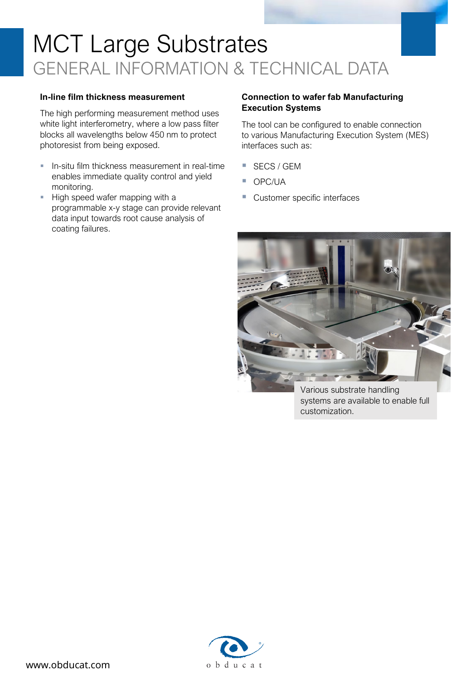# MCT Large Substrates GENERAL INFORMATION & TECHNICAL DATA

#### **In-line film thickness measurement**

The high performing measurement method uses white light interferometry, where a low pass filter blocks all wavelengths below 450 nm to protect photoresist from being exposed.

- **In-situ film thickness measurement in real-time** enables immediate quality control and yield monitoring.
- High speed wafer mapping with a programmable x-y stage can provide relevant data input towards root cause analysis of coating failures.

#### **Connection to wafer fab Manufacturing Execution Systems**

The tool can be configured to enable connection to various Manufacturing Execution System (MES) interfaces such as:

- SECS / GEM
- OPC/UA
- Customer specific interfaces



Various substrate handling systems are available to enable full customization.

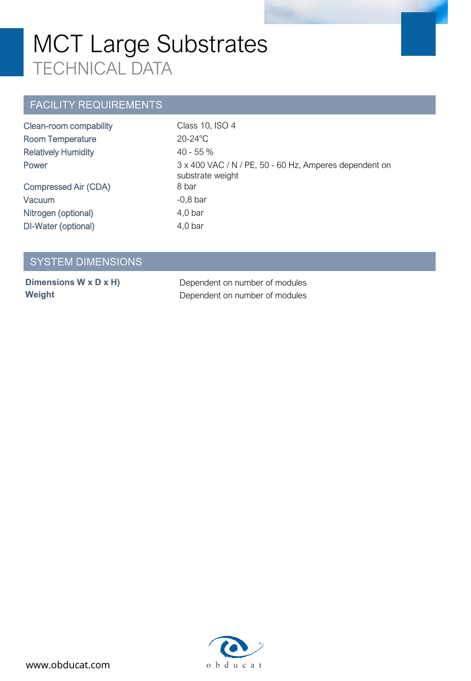## MCT Large Substrates TECHNICAL DATA

### **FACILITY REQUIREMENTS**

| Clean-room compability     | Class 10, ISO 4                                                            |
|----------------------------|----------------------------------------------------------------------------|
| <b>Room Temperature</b>    | $20-24$ °C                                                                 |
| <b>Relatively Humidity</b> | $40 - 55\%$                                                                |
| Power                      | 3 x 400 VAC / N / PE, 50 - 60 Hz, Amperes dependent on<br>substrate weight |
| Compressed Air (CDA)       | 8 bar                                                                      |
| <b>Vacuum</b>              | $-0,8$ bar                                                                 |
| Nitrogen (optional)        | $4,0$ bar                                                                  |
| DI-Water (optional)        | $4,0$ bar                                                                  |

### **SYSTEM DIMENSIONS**

**Dimensions W x D x H)** Dependent on number of modules **Weight Dependent on number of modules**